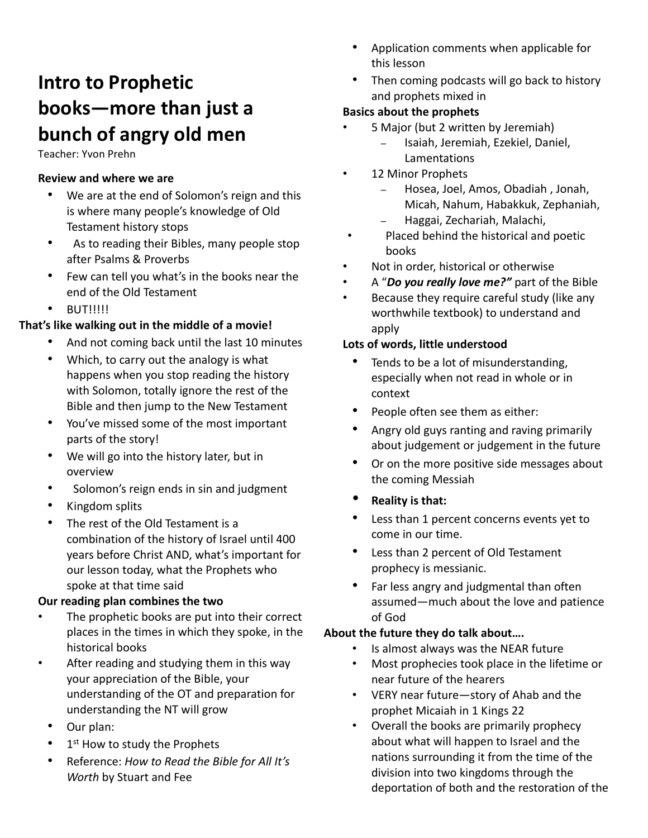# **Intro to Prophetic books—more than just a bunch of angry old men**

Teacher: Yvon Prehn

#### **Review and where we are**

- We are at the end of Solomon's reign and this is where many people's knowledge of Old Testament history stops
- As to reading their Bibles, many people stop after Psalms & Proverbs
- Few can tell you what's in the books near the end of the Old Testament
- **BUT!!!!!!**

#### **That's like walking out in the middle of a movie!**

- And not coming back until the last 10 minutes
- Which, to carry out the analogy is what happens when you stop reading the history with Solomon, totally ignore the rest of the Bible and then jump to the New Testament
- You've missed some of the most important parts of the story!
- We will go into the history later, but in overview
- Solomon's reign ends in sin and judgment
- Kingdom splits
- The rest of the Old Testament is a combination of the history of Israel until 400 years before Christ AND, what's important for our lesson today, what the Prophets who spoke at that time said

#### **Our reading plan combines the two**

- The prophetic books are put into their correct places in the times in which they spoke, in the historical books
- After reading and studying them in this way your appreciation of the Bible, your understanding of the OT and preparation for understanding the NT will grow
	- Our plan:
	- 1<sup>st</sup> How to study the Prophets
	- Reference: *How to Read the Bible for All It's Worth* by Stuart and Fee
- Application comments when applicable for this lesson
- Then coming podcasts will go back to history and prophets mixed in

## **Basics about the prophets**

- 5 Major (but 2 written by Jeremiah)
	- Isaiah, Jeremiah, Ezekiel, Daniel, Lamentations
- 12 Minor Prophets
	- Hosea, Joel, Amos, Obadiah , Jonah, Micah, Nahum, Habakkuk, Zephaniah,
	- Haggai, Zechariah, Malachi,
- Placed behind the historical and poetic books
- Not in order, historical or otherwise
- A "*Do you really love me?"* part of the Bible
- Because they require careful study (like any worthwhile textbook) to understand and apply

#### **Lots of words, little understood**

- Tends to be a lot of misunderstanding, especially when not read in whole or in context
- People often see them as either:
- Angry old guys ranting and raving primarily about judgement or judgement in the future
- Or on the more positive side messages about the coming Messiah
- **Reality is that:**
- Less than 1 percent concerns events yet to come in our time.
- Less than 2 percent of Old Testament prophecy is messianic.
- Far less angry and judgmental than often assumed—much about the love and patience of God

# **About the future they do talk about….**

- Is almost always was the NEAR future
- Most prophecies took place in the lifetime or near future of the hearers
- VERY near future—story of Ahab and the prophet Micaiah in 1 Kings 22
- Overall the books are primarily prophecy about what will happen to Israel and the nations surrounding it from the time of the division into two kingdoms through the deportation of both and the restoration of the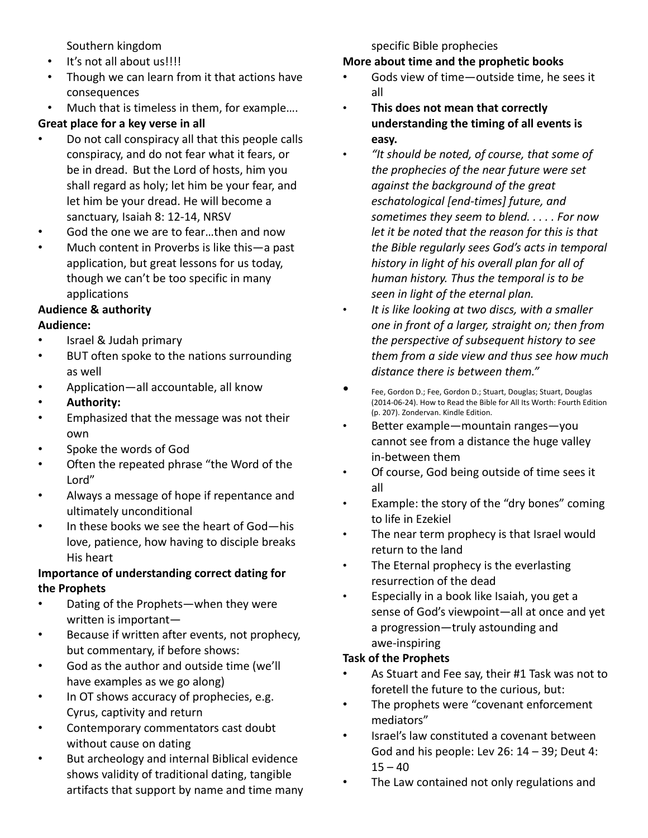Southern kingdom

- It's not all about us!!!!
- Though we can learn from it that actions have consequences
- Much that is timeless in them, for example….

# **Great place for a key verse in all**

- Do not call conspiracy all that this people calls conspiracy, and do not fear what it fears, or be in dread. But the Lord of hosts, him you shall regard as holy; let him be your fear, and let him be your dread. He will become a sanctuary, Isaiah 8: 12‐14, NRSV
- God the one we are to fear...then and now
- Much content in Proverbs is like this—a past application, but great lessons for us today, though we can't be too specific in many applications

# **Audience & authority**

## **Audience:**

- Israel & Judah primary
- BUT often spoke to the nations surrounding as well
- Application—all accountable, all know
- **Authority:**
- Emphasized that the message was not their own
- Spoke the words of God
- Often the repeated phrase "the Word of the Lord"
- Always a message of hope if repentance and ultimately unconditional
- In these books we see the heart of God—his love, patience, how having to disciple breaks His heart

## **Importance of understanding correct dating for the Prophets**

- Dating of the Prophets—when they were written is important—
- Because if written after events, not prophecy, but commentary, if before shows:
- God as the author and outside time (we'll have examples as we go along)
- In OT shows accuracy of prophecies, e.g. Cyrus, captivity and return
- Contemporary commentators cast doubt without cause on dating
- But archeology and internal Biblical evidence shows validity of traditional dating, tangible artifacts that support by name and time many

specific Bible prophecies

# **More about time and the prophetic books**

- Gods view of time-outside time, he sees it all
- **This does not mean that correctly understanding the timing of all events is easy.**
- *"It should be noted, of course, that some of the prophecies of the near future were set against the background of the great eschatological [end‐times] future, and sometimes they seem to blend. . . . . For now let it be noted that the reason for this is that the Bible regularly sees God's acts in temporal history in light of his overall plan for all of human history. Thus the temporal is to be seen in light of the eternal plan.*
- *It is like looking at two discs, with a smaller one in front of a larger, straight on; then from the perspective of subsequent history to see them from a side view and thus see how much distance there is between them."*
- Fee, Gordon D.; Fee, Gordon D.; Stuart, Douglas; Stuart, Douglas (2014‐06‐24). How to Read the Bible for All Its Worth: Fourth Edition (p. 207). Zondervan. Kindle Edition.
- Better example—mountain ranges—you cannot see from a distance the huge valley in‐between them
- Of course, God being outside of time sees it all
- Example: the story of the "dry bones" coming to life in Ezekiel
- The near term prophecy is that Israel would return to the land
- The Eternal prophecy is the everlasting resurrection of the dead
- Especially in a book like Isaiah, you get a sense of God's viewpoint—all at once and yet a progression—truly astounding and awe‐inspiring

# **Task of the Prophets**

- As Stuart and Fee say, their #1 Task was not to foretell the future to the curious, but:
- The prophets were "covenant enforcement mediators"
- Israel's law constituted a covenant between God and his people: Lev 26: 14 – 39; Deut 4:  $15 - 40$
- The Law contained not only regulations and